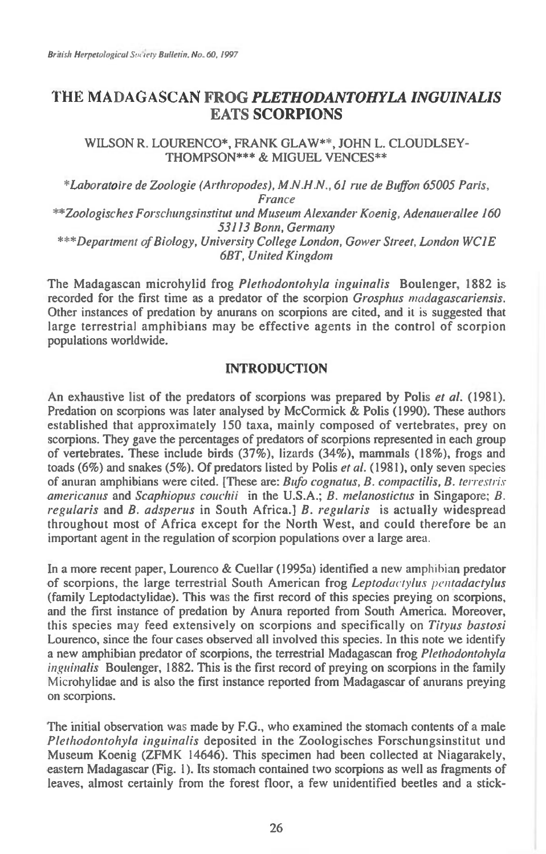## **THE MADAGASCAN FROG** *PLETHODANTOHYLA INGUINALIS*  **EATS SCORPIONS**

**WILSON R. LOURENCO\*, FRANK GLAW\*\*, JOHN L. CLOUDLSEY THOMPSON\*\*\* & MIGUEL VENCES\*\*** 

\*Laboratoire de Zoologie (Arthropodes), M.N.H.N., 61 rue de Buffon 65005 Paris, France \*\*Zoologisches Forschungsinstitut und Museum Alexander Koenig, Adenauerallee 160 53113 Bonn, Germany \*\*\*Department of Biology, University College London, Gower Street, London WC1E 6BT, United Kingdom

**The Madagascan microhylid frog** Plethodontohyla inguinalis **Boulenger, 1882 is**  recorded for the first time as a predator of the scorpion *Grosphus madagascariensis*. **Other instances of predation by anurans on scorpions are cited, and** it is **suggested that large terrestrial amphibians may be effective agents in the control of scorpion populations worldwide.** 

## **INTRODUCTION**

An exhaustive list of the predators of scorpions was prepared by Polis *et al.* (1981). **Predation on scorpions was later analysed by McCormick & Polis (1990). These authors established that approximately 150 taxa, mainly composed of vertebrates, prey on scorpions. They gave the percentages of predators of scorpions represented in each group of vertebrates. These include birds (37%), lizards (34%), mammals (18%), frogs and toads (6%) and snakes (5%). Of predators listed by Polis** et al. **(1981), only seven** species **of anuran amphibians were cited. [These are:** Bufo cognatus, B. compactilis, B. terrestris americanus **and** Scaphiopus couclui **in the U.S.A.;** B. melanostictus **in Singapore;** B. regularis **and** B. adsperus **in South Africa.]** B. regularis is **actually widespread throughout most of Africa except for the North West, and could therefore be an important agent in the regulation of scorpion populations over a large area.** 

**In a more recent paper, Lourenco & Cuellar (1995a) identified a new amphibian predator of scorpions, the large terrestrial South American frog** Leptodactylus pentadactylus **(family Leptodactylidae). This was the first record of this species preying on scorpions, and the first instance of predation by Anura reported from South America. Moreover, this species may feed extensively on scorpions and specifically on** Tityus bastosi **Lourenco, since the four cases observed all involved this species. In this note we identify a new amphibian predator of scorpions, the terrestrial Madagascan frog** Plethodontohyla inguinalis **Boulenger, 1882. This is the first record of preying on scorpions in the family Microhylidae and is also the first instance reported from Madagascar of anurans preying on scorpions.** 

**The initial observation was made by F.G., who examined the stomach contents of a male**  Plethodontohyla inguinalis **deposited in the Zoologisches Forschungsinstitut und Museum Koenig (ZFMK 14646). This specimen had been collected at Niagarakely, eastern Madagascar (Fig. 1). Its stomach contained two scorpions as well as fragments of leaves, almost certainly from the forest floor, a few unidentified beetles and a stick-**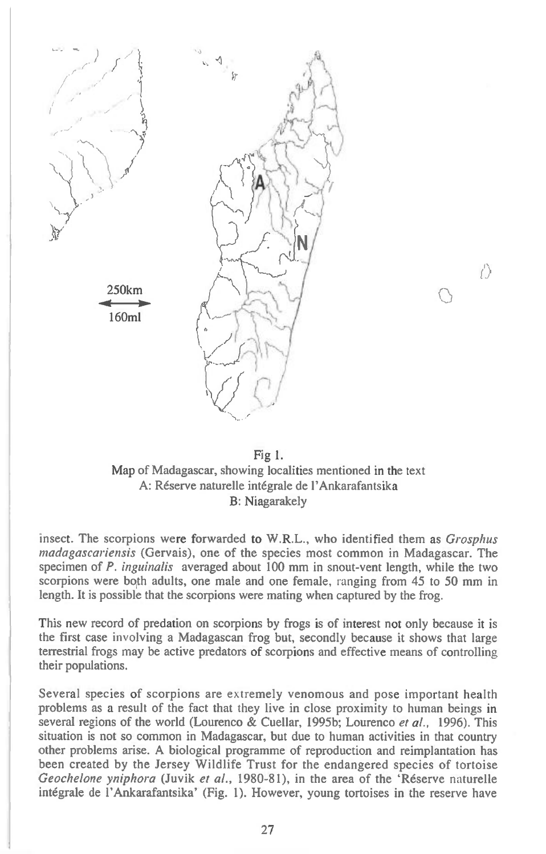



*(I)* 

insect. The scorpions were forwarded to W.R.L., who identified them as *Grosphus madagascariensis* (Gervais), one of the species most common in Madagascar. The specimen of *P. inguinalis* averaged about 100 mm in snout-vent length, while the two scorpions were both adults, one male and one female, ranging from 45 to 50 mm in length. It is possible that the scorpions were mating when captured by the frog.

This new record of predation on scorpions by frogs is of interest not only because it is the first case involving a Madagascan frog but, secondly because it shows that large terrestrial frogs may be active predators of scorpions and effective means of controlling their populations.

Several species of scorpions are extremely venomous and pose important health problems as a result of the fact that they live in close proximity to human beings in several regions of the world (Lourenco & Cuellar, 1995b; Lourenco *et al.,* 1996). This situation is not so common in Madagascar, but due to human activities in that country other problems arise. A biological programme of reproduction and reimplantation has been created by the Jersey Wildlife Trust for the endangered species of tortoise *Geochelone yniphora* (Juvik *et al.,* 1980-81), in the area of the 'Reserve naturelle integrale de l'Ankarafantsika' (Fig. 1). However, young tortoises in the reserve have